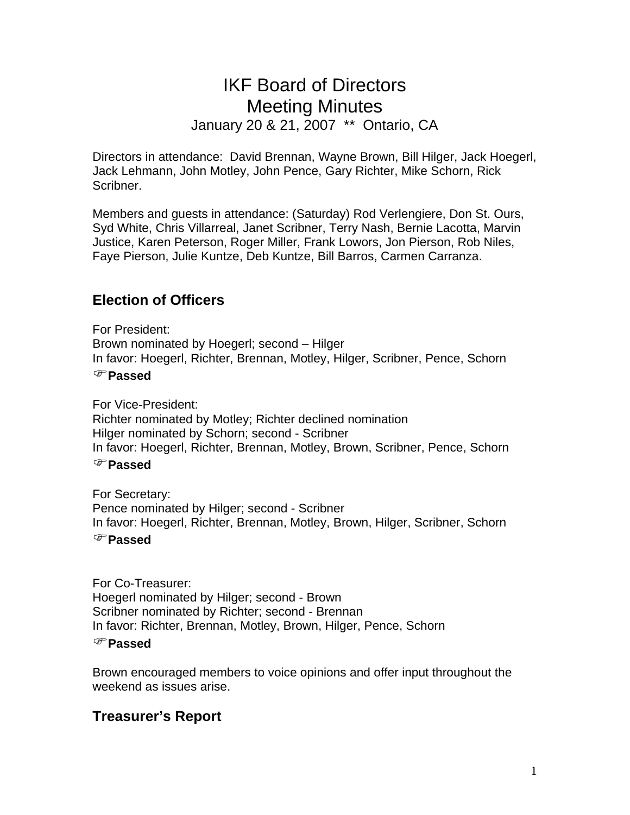# IKF Board of Directors Meeting Minutes January 20 & 21, 2007 \*\* Ontario, CA

Directors in attendance: David Brennan, Wayne Brown, Bill Hilger, Jack Hoegerl, Jack Lehmann, John Motley, John Pence, Gary Richter, Mike Schorn, Rick Scribner.

Members and guests in attendance: (Saturday) Rod Verlengiere, Don St. Ours, Syd White, Chris Villarreal, Janet Scribner, Terry Nash, Bernie Lacotta, Marvin Justice, Karen Peterson, Roger Miller, Frank Lowors, Jon Pierson, Rob Niles, Faye Pierson, Julie Kuntze, Deb Kuntze, Bill Barros, Carmen Carranza.

# **Election of Officers**

For President: Brown nominated by Hoegerl; second – Hilger In favor: Hoegerl, Richter, Brennan, Motley, Hilger, Scribner, Pence, Schorn )**Passed**

For Vice-President: Richter nominated by Motley; Richter declined nomination Hilger nominated by Schorn; second - Scribner In favor: Hoegerl, Richter, Brennan, Motley, Brown, Scribner, Pence, Schorn )**Passed**

For Secretary: Pence nominated by Hilger; second - Scribner In favor: Hoegerl, Richter, Brennan, Motley, Brown, Hilger, Scribner, Schorn

#### )**Passed**

For Co-Treasurer: Hoegerl nominated by Hilger; second - Brown Scribner nominated by Richter; second - Brennan In favor: Richter, Brennan, Motley, Brown, Hilger, Pence, Schorn

#### )**Passed**

Brown encouraged members to voice opinions and offer input throughout the weekend as issues arise.

# **Treasurer's Report**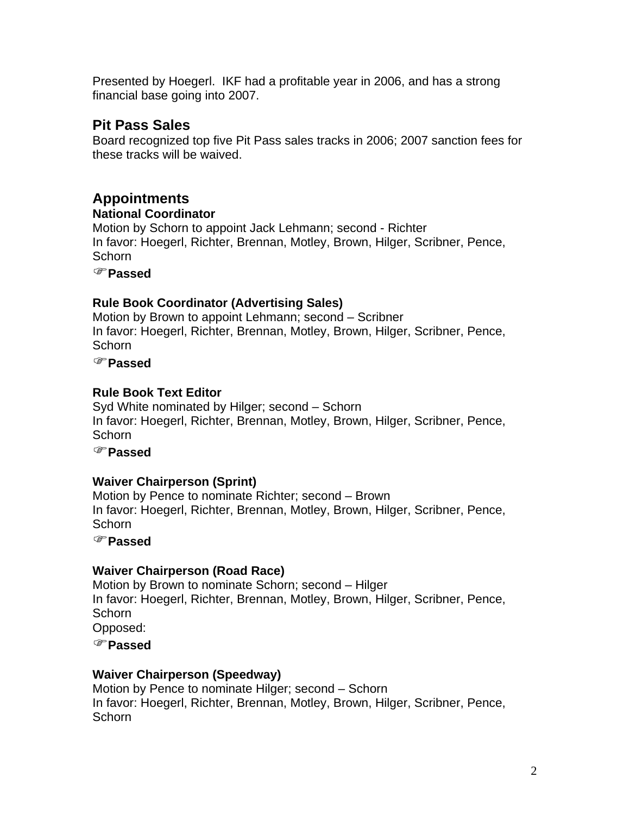Presented by Hoegerl. IKF had a profitable year in 2006, and has a strong financial base going into 2007.

# **Pit Pass Sales**

Board recognized top five Pit Pass sales tracks in 2006; 2007 sanction fees for these tracks will be waived.

# **Appointments**

#### **National Coordinator**

Motion by Schorn to appoint Jack Lehmann; second - Richter In favor: Hoegerl, Richter, Brennan, Motley, Brown, Hilger, Scribner, Pence, Schorn

)**Passed**

## **Rule Book Coordinator (Advertising Sales)**

Motion by Brown to appoint Lehmann; second – Scribner In favor: Hoegerl, Richter, Brennan, Motley, Brown, Hilger, Scribner, Pence, **Schorn** 

)**Passed**

## **Rule Book Text Editor**

Syd White nominated by Hilger; second – Schorn In favor: Hoegerl, Richter, Brennan, Motley, Brown, Hilger, Scribner, Pence, Schorn

)**Passed**

# **Waiver Chairperson (Sprint)**

Motion by Pence to nominate Richter; second – Brown In favor: Hoegerl, Richter, Brennan, Motley, Brown, Hilger, Scribner, Pence, Schorn

)**Passed**

# **Waiver Chairperson (Road Race)**

Motion by Brown to nominate Schorn; second – Hilger In favor: Hoegerl, Richter, Brennan, Motley, Brown, Hilger, Scribner, Pence, **Schorn** Opposed:

)**Passed**

# **Waiver Chairperson (Speedway)**

Motion by Pence to nominate Hilger; second – Schorn In favor: Hoegerl, Richter, Brennan, Motley, Brown, Hilger, Scribner, Pence, Schorn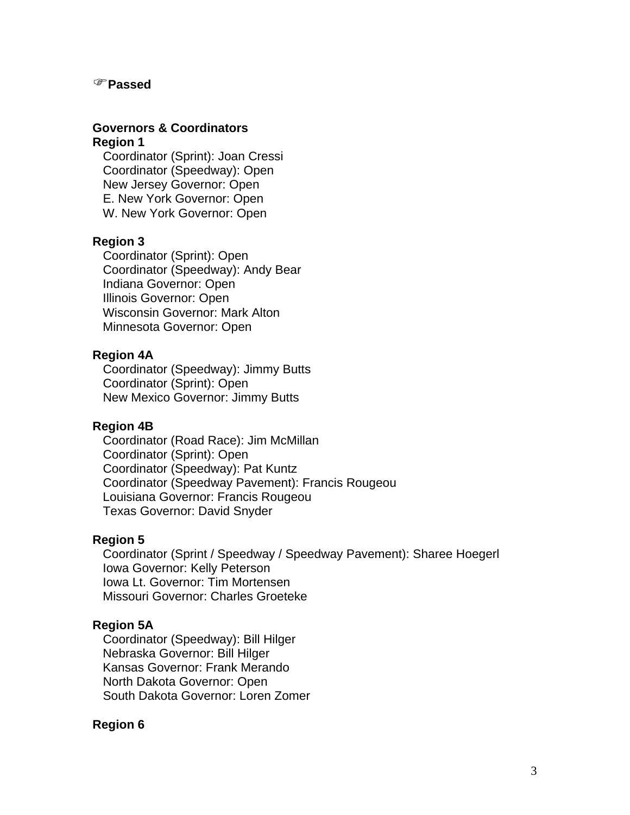#### )**Passed**

#### **Governors & Coordinators Region 1**

 Coordinator (Sprint): Joan Cressi Coordinator (Speedway): Open New Jersey Governor: Open E. New York Governor: Open W. New York Governor: Open

#### **Region 3**

 Coordinator (Sprint): Open Coordinator (Speedway): Andy Bear Indiana Governor: Open Illinois Governor: Open Wisconsin Governor: Mark Alton Minnesota Governor: Open

#### **Region 4A**

 Coordinator (Speedway): Jimmy Butts Coordinator (Sprint): Open New Mexico Governor: Jimmy Butts

#### **Region 4B**

 Coordinator (Road Race): Jim McMillan Coordinator (Sprint): Open Coordinator (Speedway): Pat Kuntz Coordinator (Speedway Pavement): Francis Rougeou Louisiana Governor: Francis Rougeou Texas Governor: David Snyder

#### **Region 5**

 Coordinator (Sprint / Speedway / Speedway Pavement): Sharee Hoegerl Iowa Governor: Kelly Peterson Iowa Lt. Governor: Tim Mortensen Missouri Governor: Charles Groeteke

#### **Region 5A**

 Coordinator (Speedway): Bill Hilger Nebraska Governor: Bill Hilger Kansas Governor: Frank Merando North Dakota Governor: Open South Dakota Governor: Loren Zomer

#### **Region 6**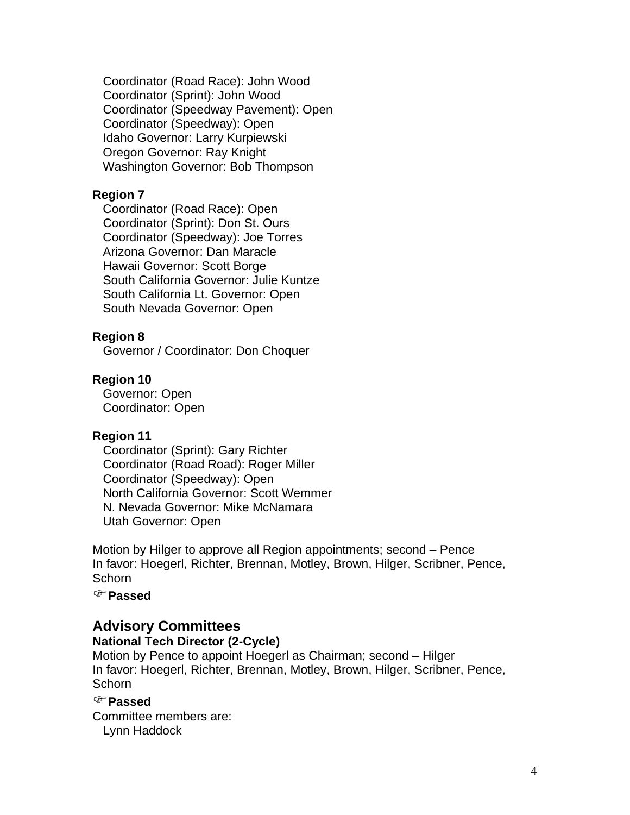Coordinator (Road Race): John Wood Coordinator (Sprint): John Wood Coordinator (Speedway Pavement): Open Coordinator (Speedway): Open Idaho Governor: Larry Kurpiewski Oregon Governor: Ray Knight Washington Governor: Bob Thompson

#### **Region 7**

 Coordinator (Road Race): Open Coordinator (Sprint): Don St. Ours Coordinator (Speedway): Joe Torres Arizona Governor: Dan Maracle Hawaii Governor: Scott Borge South California Governor: Julie Kuntze South California Lt. Governor: Open South Nevada Governor: Open

#### **Region 8**

Governor / Coordinator: Don Choquer

#### **Region 10**

 Governor: Open Coordinator: Open

#### **Region 11**

 Coordinator (Sprint): Gary Richter Coordinator (Road Road): Roger Miller Coordinator (Speedway): Open North California Governor: Scott Wemmer N. Nevada Governor: Mike McNamara Utah Governor: Open

Motion by Hilger to approve all Region appointments; second – Pence In favor: Hoegerl, Richter, Brennan, Motley, Brown, Hilger, Scribner, Pence, **Schorn** 

#### )**Passed**

## **Advisory Committees**

**National Tech Director (2-Cycle)** 

Motion by Pence to appoint Hoegerl as Chairman; second – Hilger In favor: Hoegerl, Richter, Brennan, Motley, Brown, Hilger, Scribner, Pence, **Schorn** 

## )**Passed**

Committee members are: Lynn Haddock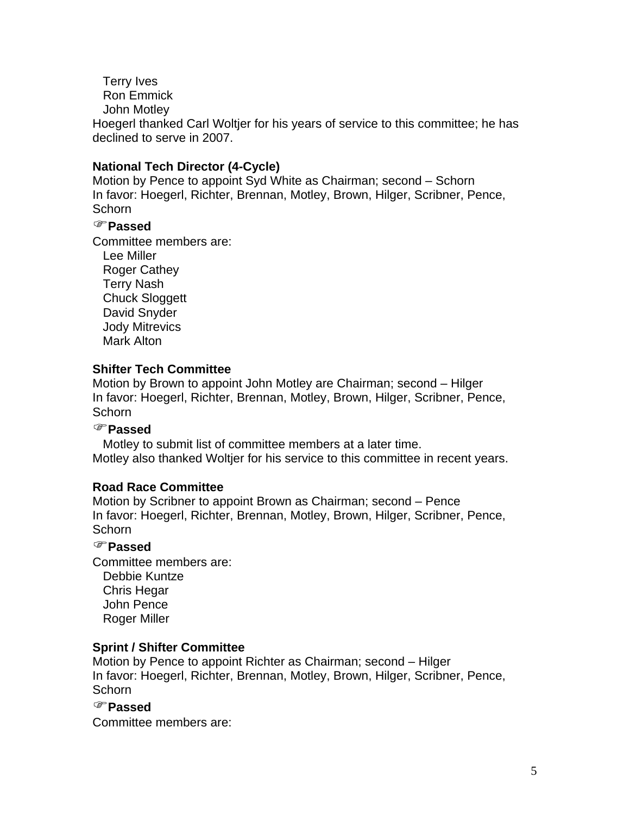Terry Ives

Ron Emmick

John Motley

Hoegerl thanked Carl Woltjer for his years of service to this committee; he has declined to serve in 2007.

## **National Tech Director (4-Cycle)**

Motion by Pence to appoint Syd White as Chairman; second – Schorn In favor: Hoegerl, Richter, Brennan, Motley, Brown, Hilger, Scribner, Pence, **Schorn** 

## )**Passed**

Committee members are:

 Lee Miller Roger Cathey Terry Nash Chuck Sloggett David Snyder Jody Mitrevics Mark Alton

## **Shifter Tech Committee**

Motion by Brown to appoint John Motley are Chairman; second – Hilger In favor: Hoegerl, Richter, Brennan, Motley, Brown, Hilger, Scribner, Pence, Schorn

## )**Passed**

 Motley to submit list of committee members at a later time. Motley also thanked Woltjer for his service to this committee in recent years.

## **Road Race Committee**

Motion by Scribner to appoint Brown as Chairman; second – Pence In favor: Hoegerl, Richter, Brennan, Motley, Brown, Hilger, Scribner, Pence, **Schorn** 

## )**Passed**

Committee members are: Debbie Kuntze Chris Hegar John Pence Roger Miller

## **Sprint / Shifter Committee**

Motion by Pence to appoint Richter as Chairman; second – Hilger In favor: Hoegerl, Richter, Brennan, Motley, Brown, Hilger, Scribner, Pence, **Schorn** 

#### )**Passed**

Committee members are: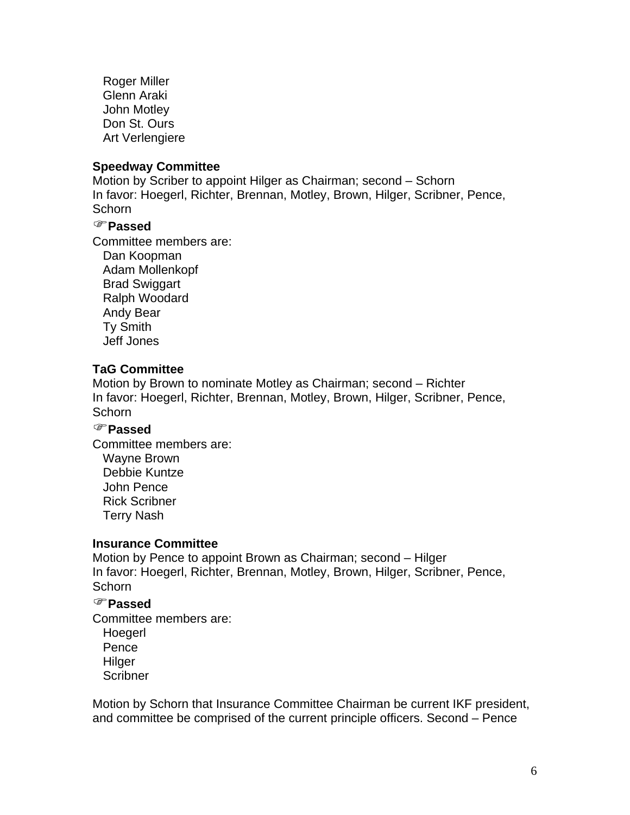Roger Miller Glenn Araki John Motley Don St. Ours Art Verlengiere

#### **Speedway Committee**

Motion by Scriber to appoint Hilger as Chairman; second – Schorn In favor: Hoegerl, Richter, Brennan, Motley, Brown, Hilger, Scribner, Pence, **Schorn** 

#### )**Passed**

Committee members are:

 Dan Koopman Adam Mollenkopf Brad Swiggart Ralph Woodard Andy Bear Ty Smith Jeff Jones

#### **TaG Committee**

Motion by Brown to nominate Motley as Chairman; second – Richter In favor: Hoegerl, Richter, Brennan, Motley, Brown, Hilger, Scribner, Pence, **Schorn** 

## )**Passed**

Committee members are: Wayne Brown Debbie Kuntze John Pence Rick Scribner Terry Nash

#### **Insurance Committee**

Motion by Pence to appoint Brown as Chairman; second – Hilger In favor: Hoegerl, Richter, Brennan, Motley, Brown, Hilger, Scribner, Pence, Schorn

#### )**Passed**

Committee members are:

Hoegerl Pence Hilger **Scribner** 

Motion by Schorn that Insurance Committee Chairman be current IKF president, and committee be comprised of the current principle officers. Second – Pence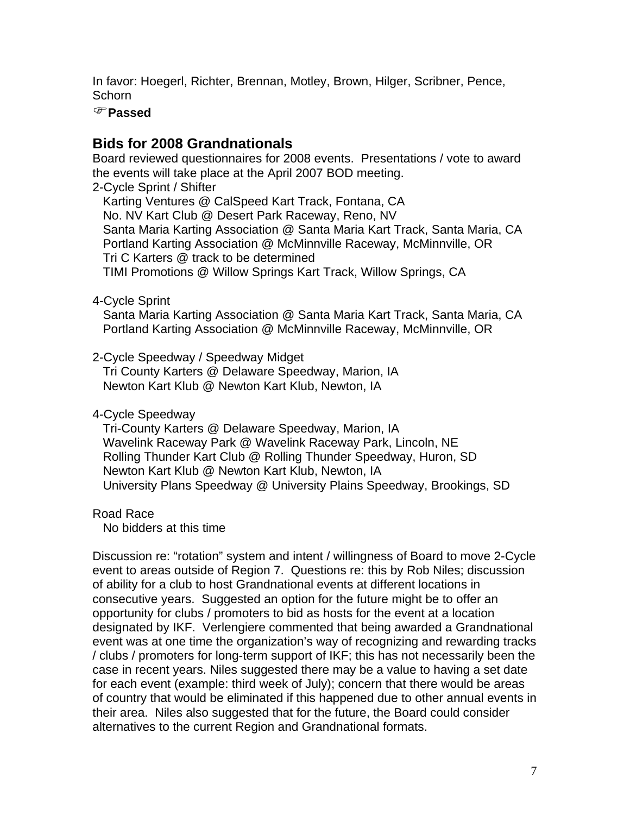In favor: Hoegerl, Richter, Brennan, Motley, Brown, Hilger, Scribner, Pence, **Schorn** 

#### )**Passed**

# **Bids for 2008 Grandnationals**

Board reviewed questionnaires for 2008 events. Presentations / vote to award the events will take place at the April 2007 BOD meeting.

2-Cycle Sprint / Shifter

 Karting Ventures @ CalSpeed Kart Track, Fontana, CA No. NV Kart Club @ Desert Park Raceway, Reno, NV Santa Maria Karting Association @ Santa Maria Kart Track, Santa Maria, CA Portland Karting Association @ McMinnville Raceway, McMinnville, OR Tri C Karters @ track to be determined TIMI Promotions @ Willow Springs Kart Track, Willow Springs, CA

4-Cycle Sprint

 Santa Maria Karting Association @ Santa Maria Kart Track, Santa Maria, CA Portland Karting Association @ McMinnville Raceway, McMinnville, OR

2-Cycle Speedway / Speedway Midget

 Tri County Karters @ Delaware Speedway, Marion, IA Newton Kart Klub @ Newton Kart Klub, Newton, IA

4-Cycle Speedway

 Tri-County Karters @ Delaware Speedway, Marion, IA Wavelink Raceway Park @ Wavelink Raceway Park, Lincoln, NE Rolling Thunder Kart Club @ Rolling Thunder Speedway, Huron, SD Newton Kart Klub @ Newton Kart Klub, Newton, IA University Plans Speedway @ University Plains Speedway, Brookings, SD

Road Race

No bidders at this time

Discussion re: "rotation" system and intent / willingness of Board to move 2-Cycle event to areas outside of Region 7. Questions re: this by Rob Niles; discussion of ability for a club to host Grandnational events at different locations in consecutive years. Suggested an option for the future might be to offer an opportunity for clubs / promoters to bid as hosts for the event at a location designated by IKF. Verlengiere commented that being awarded a Grandnational event was at one time the organization's way of recognizing and rewarding tracks / clubs / promoters for long-term support of IKF; this has not necessarily been the case in recent years. Niles suggested there may be a value to having a set date for each event (example: third week of July); concern that there would be areas of country that would be eliminated if this happened due to other annual events in their area. Niles also suggested that for the future, the Board could consider alternatives to the current Region and Grandnational formats.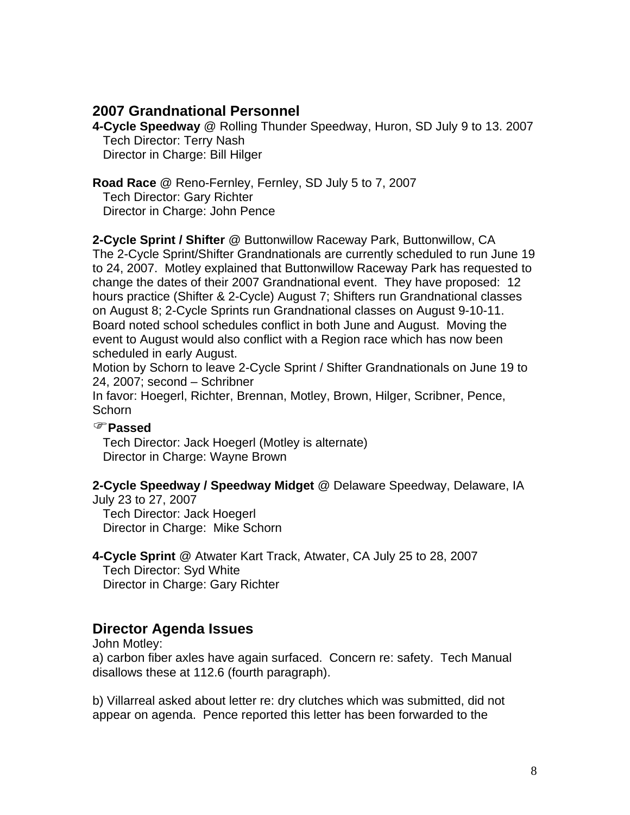## **2007 Grandnational Personnel**

**4-Cycle Speedway** @ Rolling Thunder Speedway, Huron, SD July 9 to 13. 2007 Tech Director: Terry Nash Director in Charge: Bill Hilger

**Road Race** @ Reno-Fernley, Fernley, SD July 5 to 7, 2007 Tech Director: Gary Richter Director in Charge: John Pence

**2-Cycle Sprint / Shifter** @ Buttonwillow Raceway Park, Buttonwillow, CA The 2-Cycle Sprint/Shifter Grandnationals are currently scheduled to run June 19 to 24, 2007. Motley explained that Buttonwillow Raceway Park has requested to change the dates of their 2007 Grandnational event. They have proposed: 12 hours practice (Shifter & 2-Cycle) August 7; Shifters run Grandnational classes on August 8; 2-Cycle Sprints run Grandnational classes on August 9-10-11. Board noted school schedules conflict in both June and August. Moving the event to August would also conflict with a Region race which has now been scheduled in early August.

Motion by Schorn to leave 2-Cycle Sprint / Shifter Grandnationals on June 19 to 24, 2007; second – Schribner

In favor: Hoegerl, Richter, Brennan, Motley, Brown, Hilger, Scribner, Pence, **Schorn** 

## )**Passed**

 Tech Director: Jack Hoegerl (Motley is alternate) Director in Charge: Wayne Brown

## **2-Cycle Speedway / Speedway Midget** @ Delaware Speedway, Delaware, IA

July 23 to 27, 2007 Tech Director: Jack Hoegerl Director in Charge: Mike Schorn

**4-Cycle Sprint** @ Atwater Kart Track, Atwater, CA July 25 to 28, 2007 Tech Director: Syd White Director in Charge: Gary Richter

# **Director Agenda Issues**

John Motley:

a) carbon fiber axles have again surfaced. Concern re: safety. Tech Manual disallows these at 112.6 (fourth paragraph).

b) Villarreal asked about letter re: dry clutches which was submitted, did not appear on agenda. Pence reported this letter has been forwarded to the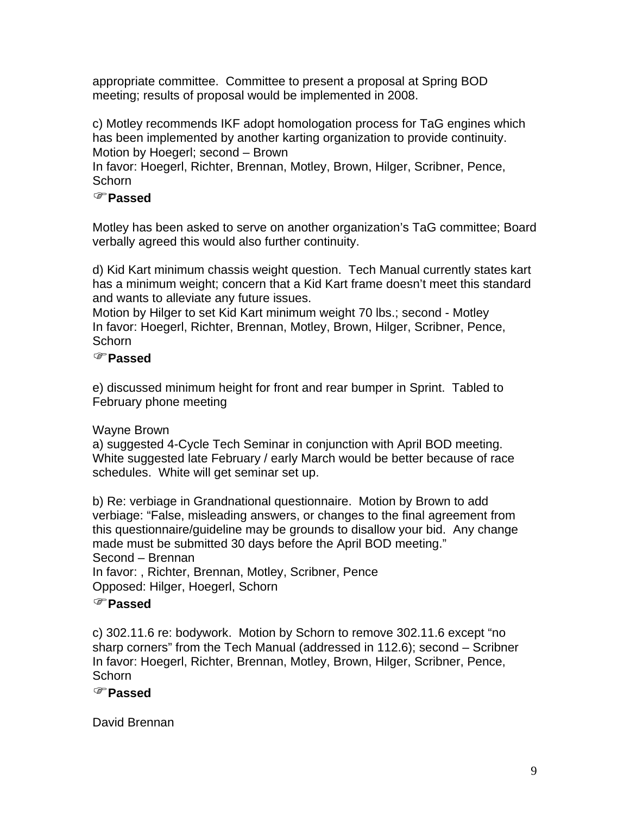appropriate committee. Committee to present a proposal at Spring BOD meeting; results of proposal would be implemented in 2008.

c) Motley recommends IKF adopt homologation process for TaG engines which has been implemented by another karting organization to provide continuity. Motion by Hoegerl; second – Brown

In favor: Hoegerl, Richter, Brennan, Motley, Brown, Hilger, Scribner, Pence, **Schorn** 

## )**Passed**

Motley has been asked to serve on another organization's TaG committee; Board verbally agreed this would also further continuity.

d) Kid Kart minimum chassis weight question. Tech Manual currently states kart has a minimum weight; concern that a Kid Kart frame doesn't meet this standard and wants to alleviate any future issues.

Motion by Hilger to set Kid Kart minimum weight 70 lbs.; second - Motley In favor: Hoegerl, Richter, Brennan, Motley, Brown, Hilger, Scribner, Pence, **Schorn** 

## )**Passed**

e) discussed minimum height for front and rear bumper in Sprint. Tabled to February phone meeting

# Wayne Brown

a) suggested 4-Cycle Tech Seminar in conjunction with April BOD meeting. White suggested late February / early March would be better because of race schedules. White will get seminar set up.

b) Re: verbiage in Grandnational questionnaire. Motion by Brown to add verbiage: "False, misleading answers, or changes to the final agreement from this questionnaire/guideline may be grounds to disallow your bid. Any change made must be submitted 30 days before the April BOD meeting." Second – Brennan

In favor: , Richter, Brennan, Motley, Scribner, Pence Opposed: Hilger, Hoegerl, Schorn

## )**Passed**

c) 302.11.6 re: bodywork. Motion by Schorn to remove 302.11.6 except "no sharp corners" from the Tech Manual (addressed in 112.6); second – Scribner In favor: Hoegerl, Richter, Brennan, Motley, Brown, Hilger, Scribner, Pence, Schorn

# )**Passed**

David Brennan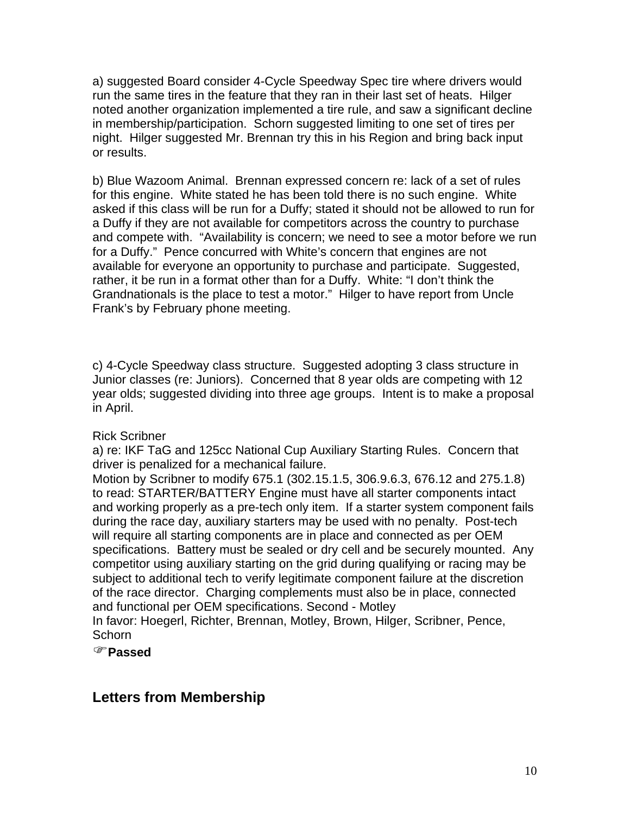a) suggested Board consider 4-Cycle Speedway Spec tire where drivers would run the same tires in the feature that they ran in their last set of heats. Hilger noted another organization implemented a tire rule, and saw a significant decline in membership/participation. Schorn suggested limiting to one set of tires per night. Hilger suggested Mr. Brennan try this in his Region and bring back input or results.

b) Blue Wazoom Animal. Brennan expressed concern re: lack of a set of rules for this engine. White stated he has been told there is no such engine. White asked if this class will be run for a Duffy; stated it should not be allowed to run for a Duffy if they are not available for competitors across the country to purchase and compete with. "Availability is concern; we need to see a motor before we run for a Duffy." Pence concurred with White's concern that engines are not available for everyone an opportunity to purchase and participate. Suggested, rather, it be run in a format other than for a Duffy. White: "I don't think the Grandnationals is the place to test a motor." Hilger to have report from Uncle Frank's by February phone meeting.

c) 4-Cycle Speedway class structure. Suggested adopting 3 class structure in Junior classes (re: Juniors). Concerned that 8 year olds are competing with 12 year olds; suggested dividing into three age groups. Intent is to make a proposal in April.

#### Rick Scribner

a) re: IKF TaG and 125cc National Cup Auxiliary Starting Rules. Concern that driver is penalized for a mechanical failure.

Motion by Scribner to modify 675.1 (302.15.1.5, 306.9.6.3, 676.12 and 275.1.8) to read: STARTER/BATTERY Engine must have all starter components intact and working properly as a pre-tech only item. If a starter system component fails during the race day, auxiliary starters may be used with no penalty. Post-tech will require all starting components are in place and connected as per OEM specifications. Battery must be sealed or dry cell and be securely mounted. Any competitor using auxiliary starting on the grid during qualifying or racing may be subject to additional tech to verify legitimate component failure at the discretion of the race director. Charging complements must also be in place, connected and functional per OEM specifications. Second - Motley

In favor: Hoegerl, Richter, Brennan, Motley, Brown, Hilger, Scribner, Pence, **Schorn** 

)**Passed**

# **Letters from Membership**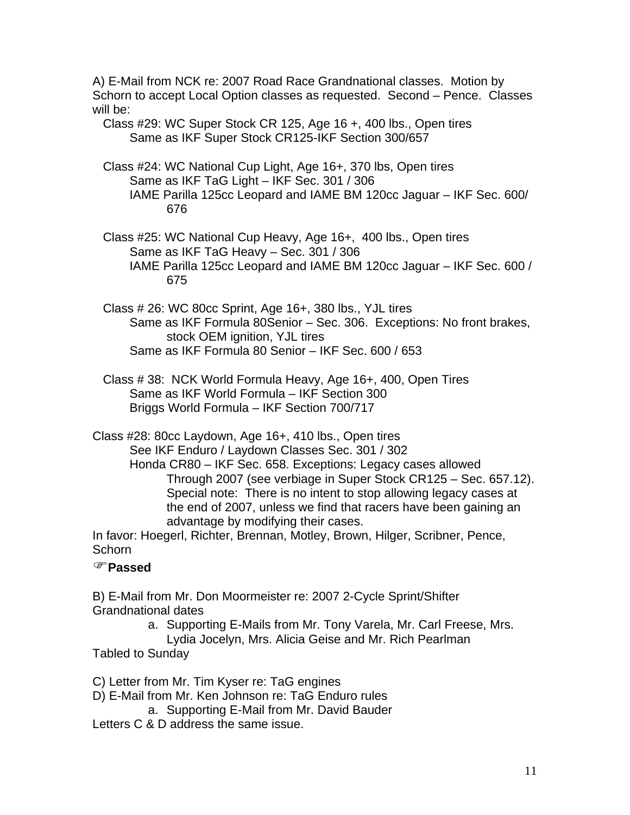A) E-Mail from NCK re: 2007 Road Race Grandnational classes. Motion by Schorn to accept Local Option classes as requested. Second – Pence. Classes will be:

 Class #29: WC Super Stock CR 125, Age 16 +, 400 lbs., Open tires Same as IKF Super Stock CR125-IKF Section 300/657

- Class #24: WC National Cup Light, Age 16+, 370 lbs, Open tires Same as IKF TaG Light – IKF Sec. 301 / 306 IAME Parilla 125cc Leopard and IAME BM 120cc Jaguar – IKF Sec. 600/ 676
- Class #25: WC National Cup Heavy, Age 16+, 400 lbs., Open tires Same as IKF TaG Heavy – Sec. 301 / 306 IAME Parilla 125cc Leopard and IAME BM 120cc Jaguar – IKF Sec. 600 / 675
- Class # 26: WC 80cc Sprint, Age 16+, 380 lbs., YJL tires Same as IKF Formula 80Senior – Sec. 306. Exceptions: No front brakes, stock OEM ignition, YJL tires Same as IKF Formula 80 Senior – IKF Sec. 600 / 653
- Class # 38: NCK World Formula Heavy, Age 16+, 400, Open Tires Same as IKF World Formula – IKF Section 300 Briggs World Formula – IKF Section 700/717

Class #28: 80cc Laydown, Age 16+, 410 lbs., Open tires See IKF Enduro / Laydown Classes Sec. 301 / 302

Honda CR80 – IKF Sec. 658. Exceptions: Legacy cases allowed Through 2007 (see verbiage in Super Stock CR125 – Sec. 657.12). Special note: There is no intent to stop allowing legacy cases at the end of 2007, unless we find that racers have been gaining an advantage by modifying their cases.

In favor: Hoegerl, Richter, Brennan, Motley, Brown, Hilger, Scribner, Pence, **Schorn** 

## )**Passed**

B) E-Mail from Mr. Don Moormeister re: 2007 2-Cycle Sprint/Shifter Grandnational dates

a. Supporting E-Mails from Mr. Tony Varela, Mr. Carl Freese, Mrs.

Lydia Jocelyn, Mrs. Alicia Geise and Mr. Rich Pearlman

Tabled to Sunday

C) Letter from Mr. Tim Kyser re: TaG engines

D) E-Mail from Mr. Ken Johnson re: TaG Enduro rules

a. Supporting E-Mail from Mr. David Bauder

Letters C & D address the same issue.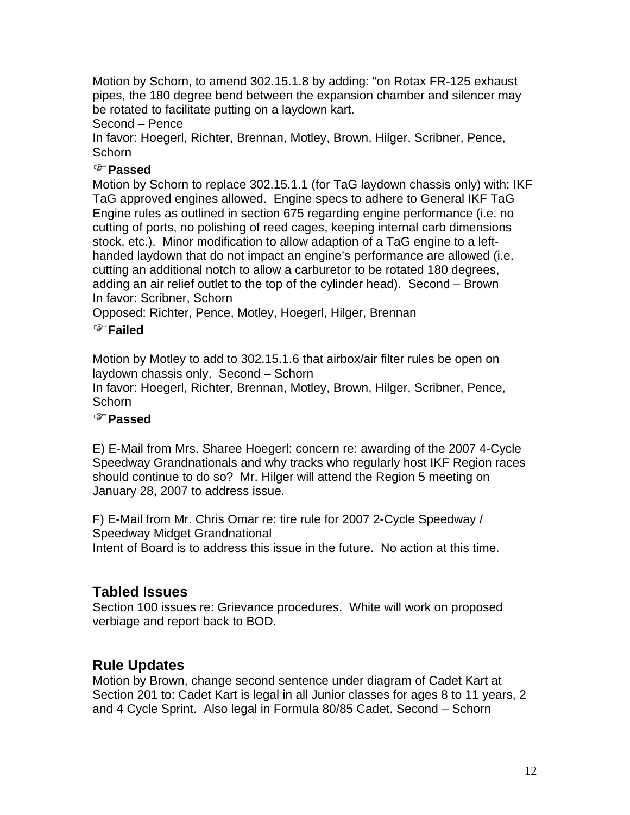Motion by Schorn, to amend 302.15.1.8 by adding: "on Rotax FR-125 exhaust pipes, the 180 degree bend between the expansion chamber and silencer may be rotated to facilitate putting on a laydown kart.

#### Second – Pence

In favor: Hoegerl, Richter, Brennan, Motley, Brown, Hilger, Scribner, Pence, **Schorn** 

## )**Passed**

Motion by Schorn to replace 302.15.1.1 (for TaG laydown chassis only) with: IKF TaG approved engines allowed. Engine specs to adhere to General IKF TaG Engine rules as outlined in section 675 regarding engine performance (i.e. no cutting of ports, no polishing of reed cages, keeping internal carb dimensions stock, etc.). Minor modification to allow adaption of a TaG engine to a lefthanded laydown that do not impact an engine's performance are allowed (i.e. cutting an additional notch to allow a carburetor to be rotated 180 degrees, adding an air relief outlet to the top of the cylinder head). Second – Brown In favor: Scribner, Schorn

Opposed: Richter, Pence, Motley, Hoegerl, Hilger, Brennan

## )**Failed**

Motion by Motley to add to 302.15.1.6 that airbox/air filter rules be open on laydown chassis only. Second – Schorn

In favor: Hoegerl, Richter, Brennan, Motley, Brown, Hilger, Scribner, Pence, **Schorn** 

## )**Passed**

E) E-Mail from Mrs. Sharee Hoegerl: concern re: awarding of the 2007 4-Cycle Speedway Grandnationals and why tracks who regularly host IKF Region races should continue to do so? Mr. Hilger will attend the Region 5 meeting on January 28, 2007 to address issue.

F) E-Mail from Mr. Chris Omar re: tire rule for 2007 2-Cycle Speedway / Speedway Midget Grandnational Intent of Board is to address this issue in the future. No action at this time.

# **Tabled Issues**

Section 100 issues re: Grievance procedures. White will work on proposed verbiage and report back to BOD.

# **Rule Updates**

Motion by Brown, change second sentence under diagram of Cadet Kart at Section 201 to: Cadet Kart is legal in all Junior classes for ages 8 to 11 years, 2 and 4 Cycle Sprint. Also legal in Formula 80/85 Cadet. Second – Schorn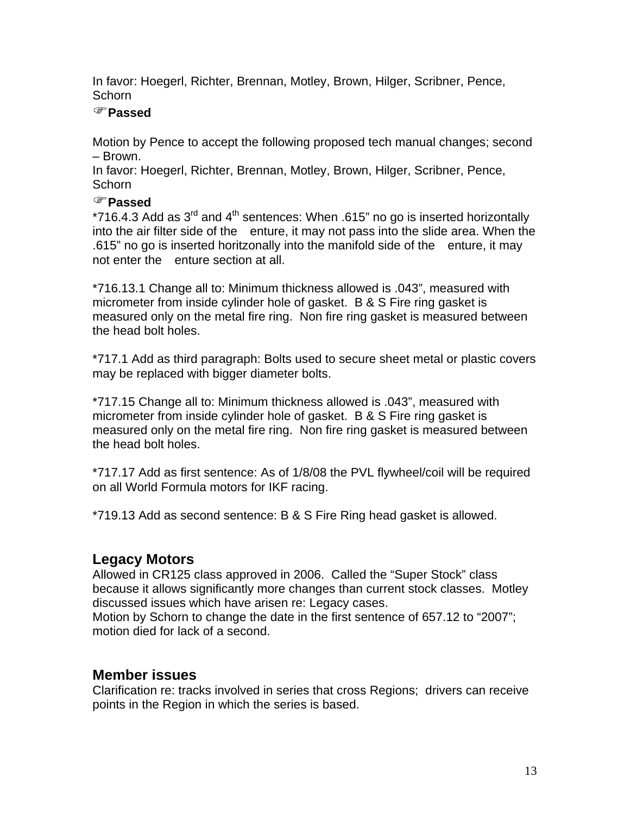In favor: Hoegerl, Richter, Brennan, Motley, Brown, Hilger, Scribner, Pence, **Schorn** 

## )**Passed**

Motion by Pence to accept the following proposed tech manual changes; second – Brown.

In favor: Hoegerl, Richter, Brennan, Motley, Brown, Hilger, Scribner, Pence, **Schorn** 

## )**Passed**

\*716.4.3 Add as  $3^{\text{rd}}$  and  $4^{\text{th}}$  sentences: When .615" no go is inserted horizontally into the air filter side of the enture, it may not pass into the slide area. When the .615" no go is inserted horitzonally into the manifold side of the enture, it may not enter the enture section at all.

\*716.13.1 Change all to: Minimum thickness allowed is .043", measured with micrometer from inside cylinder hole of gasket. B & S Fire ring gasket is measured only on the metal fire ring. Non fire ring gasket is measured between the head bolt holes.

\*717.1 Add as third paragraph: Bolts used to secure sheet metal or plastic covers may be replaced with bigger diameter bolts.

\*717.15 Change all to: Minimum thickness allowed is .043", measured with micrometer from inside cylinder hole of gasket. B & S Fire ring gasket is measured only on the metal fire ring. Non fire ring gasket is measured between the head bolt holes.

\*717.17 Add as first sentence: As of 1/8/08 the PVL flywheel/coil will be required on all World Formula motors for IKF racing.

\*719.13 Add as second sentence: B & S Fire Ring head gasket is allowed.

# **Legacy Motors**

Allowed in CR125 class approved in 2006. Called the "Super Stock" class because it allows significantly more changes than current stock classes. Motley discussed issues which have arisen re: Legacy cases.

Motion by Schorn to change the date in the first sentence of 657.12 to "2007"; motion died for lack of a second.

# **Member issues**

Clarification re: tracks involved in series that cross Regions; drivers can receive points in the Region in which the series is based.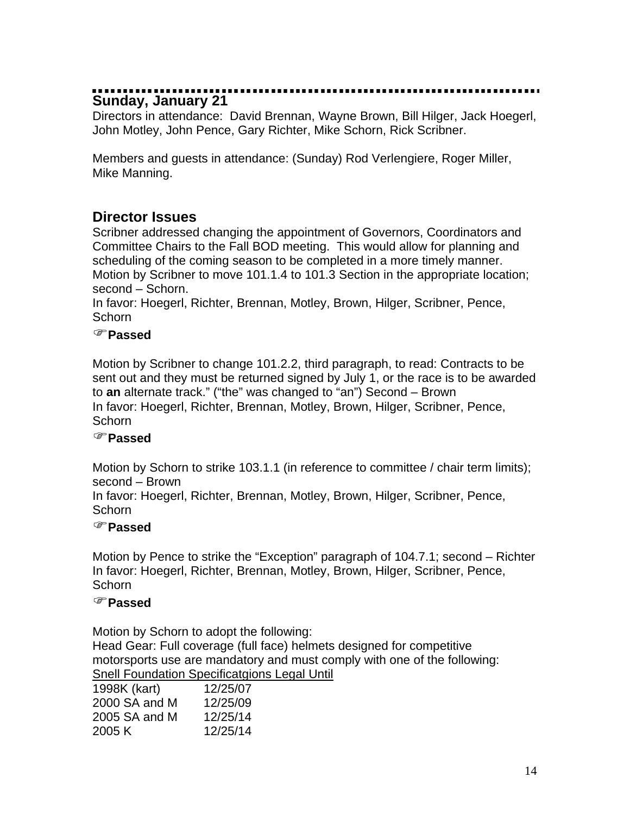# **Sunday, January 21**

Directors in attendance: David Brennan, Wayne Brown, Bill Hilger, Jack Hoegerl, John Motley, John Pence, Gary Richter, Mike Schorn, Rick Scribner.

Members and guests in attendance: (Sunday) Rod Verlengiere, Roger Miller, Mike Manning.

# **Director Issues**

Scribner addressed changing the appointment of Governors, Coordinators and Committee Chairs to the Fall BOD meeting. This would allow for planning and scheduling of the coming season to be completed in a more timely manner. Motion by Scribner to move 101.1.4 to 101.3 Section in the appropriate location; second – Schorn.

In favor: Hoegerl, Richter, Brennan, Motley, Brown, Hilger, Scribner, Pence, Schorn

## )**Passed**

Motion by Scribner to change 101.2.2, third paragraph, to read: Contracts to be sent out and they must be returned signed by July 1, or the race is to be awarded to **an** alternate track." ("the" was changed to "an") Second – Brown In favor: Hoegerl, Richter, Brennan, Motley, Brown, Hilger, Scribner, Pence, **Schorn** 

## )**Passed**

Motion by Schorn to strike 103.1.1 (in reference to committee / chair term limits); second – Brown

In favor: Hoegerl, Richter, Brennan, Motley, Brown, Hilger, Scribner, Pence, **Schorn** 

#### )**Passed**

Motion by Pence to strike the "Exception" paragraph of 104.7.1; second – Richter In favor: Hoegerl, Richter, Brennan, Motley, Brown, Hilger, Scribner, Pence, Schorn

#### )**Passed**

Motion by Schorn to adopt the following: Head Gear: Full coverage (full face) helmets designed for competitive motorsports use are mandatory and must comply with one of the following: Snell Foundation Specificatgions Legal Until

| 1998K (kart)  | 12/25/07 |
|---------------|----------|
| 2000 SA and M | 12/25/09 |
| 2005 SA and M | 12/25/14 |
| 2005 K        | 12/25/14 |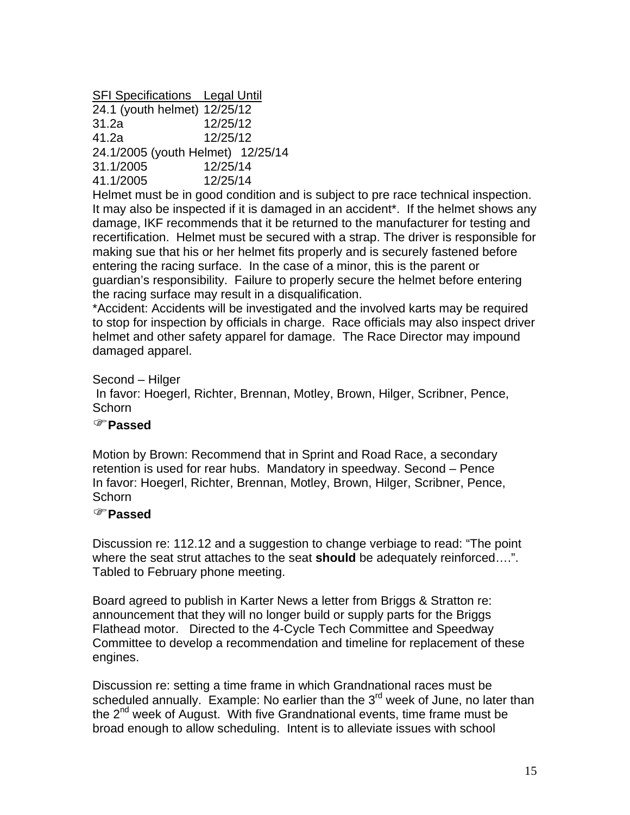SFI Specifications Legal Until

| 24.1 (youth helmet) 12/25/12                                 |          |  |
|--------------------------------------------------------------|----------|--|
| 31.2a                                                        | 12/25/12 |  |
| 41.2a                                                        | 12/25/12 |  |
| 24.1/2005 (youth Helmet) 12/25/14                            |          |  |
| 31.1/2005                                                    | 12/25/14 |  |
| 41.1/2005                                                    | 12/25/14 |  |
| The Four and a second to the second the second Protection of |          |  |

Helmet must be in good condition and is subject to pre race technical inspection. It may also be inspected if it is damaged in an accident\*. If the helmet shows any damage, IKF recommends that it be returned to the manufacturer for testing and recertification. Helmet must be secured with a strap. The driver is responsible for making sue that his or her helmet fits properly and is securely fastened before entering the racing surface. In the case of a minor, this is the parent or guardian's responsibility. Failure to properly secure the helmet before entering the racing surface may result in a disqualification.

\*Accident: Accidents will be investigated and the involved karts may be required to stop for inspection by officials in charge. Race officials may also inspect driver helmet and other safety apparel for damage. The Race Director may impound damaged apparel.

Second – Hilger

 In favor: Hoegerl, Richter, Brennan, Motley, Brown, Hilger, Scribner, Pence, **Schorn** 

#### )**Passed**

Motion by Brown: Recommend that in Sprint and Road Race, a secondary retention is used for rear hubs. Mandatory in speedway. Second – Pence In favor: Hoegerl, Richter, Brennan, Motley, Brown, Hilger, Scribner, Pence, Schorn

## )**Passed**

Discussion re: 112.12 and a suggestion to change verbiage to read: "The point where the seat strut attaches to the seat **should** be adequately reinforced….". Tabled to February phone meeting.

Board agreed to publish in Karter News a letter from Briggs & Stratton re: announcement that they will no longer build or supply parts for the Briggs Flathead motor. Directed to the 4-Cycle Tech Committee and Speedway Committee to develop a recommendation and timeline for replacement of these engines.

Discussion re: setting a time frame in which Grandnational races must be scheduled annually. Example: No earlier than the  $3<sup>rd</sup>$  week of June, no later than the  $2^{nd}$  week of August. With five Grandnational events, time frame must be broad enough to allow scheduling. Intent is to alleviate issues with school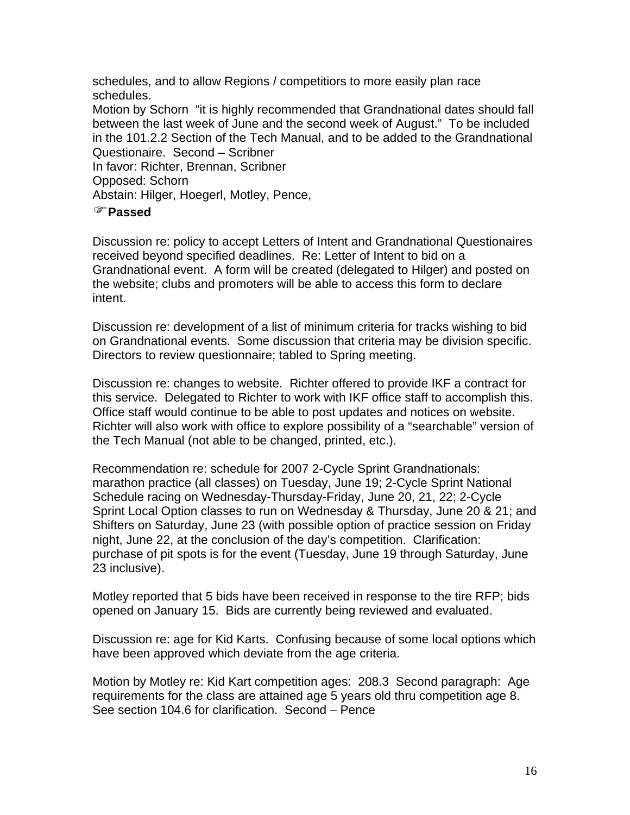schedules, and to allow Regions / competitiors to more easily plan race schedules. Motion by Schorn "it is highly recommended that Grandnational dates should fall between the last week of June and the second week of August." To be included in the 101.2.2 Section of the Tech Manual, and to be added to the Grandnational Questionaire. Second – Scribner In favor: Richter, Brennan, Scribner Opposed: Schorn Abstain: Hilger, Hoegerl, Motley, Pence,

#### )**Passed**

Discussion re: policy to accept Letters of Intent and Grandnational Questionaires received beyond specified deadlines. Re: Letter of Intent to bid on a Grandnational event. A form will be created (delegated to Hilger) and posted on the website; clubs and promoters will be able to access this form to declare intent.

Discussion re: development of a list of minimum criteria for tracks wishing to bid on Grandnational events. Some discussion that criteria may be division specific. Directors to review questionnaire; tabled to Spring meeting.

Discussion re: changes to website. Richter offered to provide IKF a contract for this service. Delegated to Richter to work with IKF office staff to accomplish this. Office staff would continue to be able to post updates and notices on website. Richter will also work with office to explore possibility of a "searchable" version of the Tech Manual (not able to be changed, printed, etc.).

Recommendation re: schedule for 2007 2-Cycle Sprint Grandnationals: marathon practice (all classes) on Tuesday, June 19; 2-Cycle Sprint National Schedule racing on Wednesday-Thursday-Friday, June 20, 21, 22; 2-Cycle Sprint Local Option classes to run on Wednesday & Thursday, June 20 & 21; and Shifters on Saturday, June 23 (with possible option of practice session on Friday night, June 22, at the conclusion of the day's competition. Clarification: purchase of pit spots is for the event (Tuesday, June 19 through Saturday, June 23 inclusive).

Motley reported that 5 bids have been received in response to the tire RFP; bids opened on January 15. Bids are currently being reviewed and evaluated.

Discussion re: age for Kid Karts. Confusing because of some local options which have been approved which deviate from the age criteria.

Motion by Motley re: Kid Kart competition ages: 208.3 Second paragraph: Age requirements for the class are attained age 5 years old thru competition age 8. See section 104.6 for clarification. Second – Pence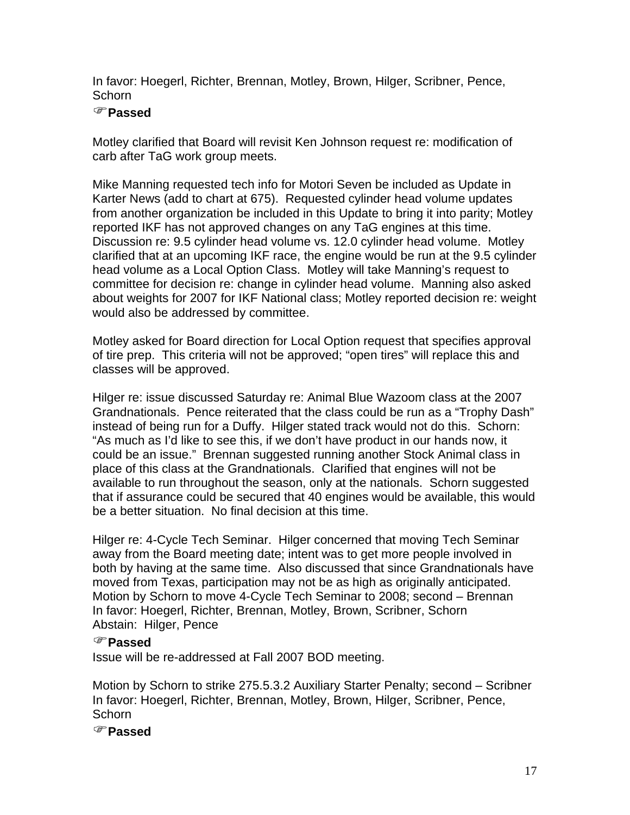In favor: Hoegerl, Richter, Brennan, Motley, Brown, Hilger, Scribner, Pence, **Schorn** 

## )**Passed**

Motley clarified that Board will revisit Ken Johnson request re: modification of carb after TaG work group meets.

Mike Manning requested tech info for Motori Seven be included as Update in Karter News (add to chart at 675). Requested cylinder head volume updates from another organization be included in this Update to bring it into parity; Motley reported IKF has not approved changes on any TaG engines at this time. Discussion re: 9.5 cylinder head volume vs. 12.0 cylinder head volume. Motley clarified that at an upcoming IKF race, the engine would be run at the 9.5 cylinder head volume as a Local Option Class. Motley will take Manning's request to committee for decision re: change in cylinder head volume. Manning also asked about weights for 2007 for IKF National class; Motley reported decision re: weight would also be addressed by committee.

Motley asked for Board direction for Local Option request that specifies approval of tire prep. This criteria will not be approved; "open tires" will replace this and classes will be approved.

Hilger re: issue discussed Saturday re: Animal Blue Wazoom class at the 2007 Grandnationals. Pence reiterated that the class could be run as a "Trophy Dash" instead of being run for a Duffy. Hilger stated track would not do this. Schorn: "As much as I'd like to see this, if we don't have product in our hands now, it could be an issue." Brennan suggested running another Stock Animal class in place of this class at the Grandnationals. Clarified that engines will not be available to run throughout the season, only at the nationals. Schorn suggested that if assurance could be secured that 40 engines would be available, this would be a better situation. No final decision at this time.

Hilger re: 4-Cycle Tech Seminar. Hilger concerned that moving Tech Seminar away from the Board meeting date; intent was to get more people involved in both by having at the same time. Also discussed that since Grandnationals have moved from Texas, participation may not be as high as originally anticipated. Motion by Schorn to move 4-Cycle Tech Seminar to 2008; second – Brennan In favor: Hoegerl, Richter, Brennan, Motley, Brown, Scribner, Schorn Abstain: Hilger, Pence

## )**Passed**

Issue will be re-addressed at Fall 2007 BOD meeting.

Motion by Schorn to strike 275.5.3.2 Auxiliary Starter Penalty; second – Scribner In favor: Hoegerl, Richter, Brennan, Motley, Brown, Hilger, Scribner, Pence, **Schorn** 

)**Passed**